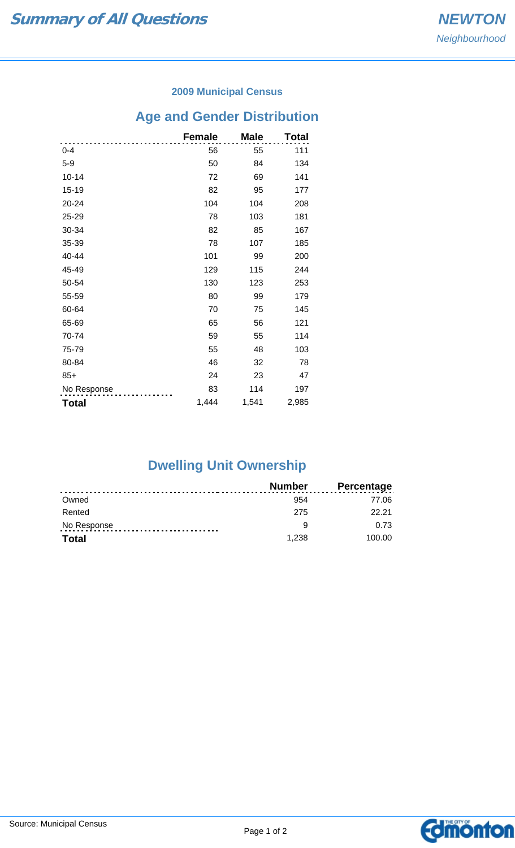#### **2009 Municipal Census**

# **Age and Gender Distribution**

|              | <b>Female</b> | <b>Male</b> | Total |
|--------------|---------------|-------------|-------|
| $0 - 4$      | 56            | 55          | 111   |
| $5-9$        | 50            | 84          | 134   |
| $10 - 14$    | 72            | 69          | 141   |
| 15-19        | 82            | 95          | 177   |
| 20-24        | 104           | 104         | 208   |
| 25-29        | 78            | 103         | 181   |
| 30-34        | 82            | 85          | 167   |
| 35-39        | 78            | 107         | 185   |
| 40-44        | 101           | 99          | 200   |
| 45-49        | 129           | 115         | 244   |
| 50-54        | 130           | 123         | 253   |
| 55-59        | 80            | 99          | 179   |
| 60-64        | 70            | 75          | 145   |
| 65-69        | 65            | 56          | 121   |
| 70-74        | 59            | 55          | 114   |
| 75-79        | 55            | 48          | 103   |
| 80-84        | 46            | 32          | 78    |
| $85+$        | 24            | 23          | 47    |
| No Response  | 83            | 114         | 197   |
| <b>Total</b> | 1,444         | 1,541       | 2,985 |

## **Dwelling Unit Ownership**

|              | Number | <b>Percentage</b> |
|--------------|--------|-------------------|
| Owned        | 954    | 77.06             |
| Rented       | 275    | 22.21             |
| No Response  | a      | 0.73              |
| <b>Total</b> | 1.238  | 100.00            |